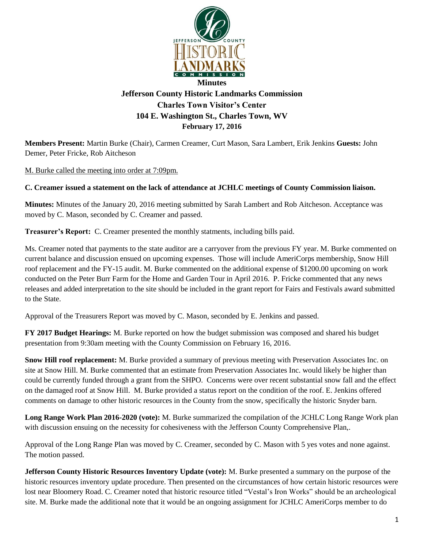

## **Jefferson County Historic Landmarks Commission Charles Town Visitor's Center 104 E. Washington St., Charles Town, WV February 17, 2016**

**Members Present:** Martin Burke (Chair), Carmen Creamer, Curt Mason, Sara Lambert, Erik Jenkins **Guests:** John Demer, Peter Fricke, Rob Aitcheson

M. Burke called the meeting into order at 7:09pm.

## **C. Creamer issued a statement on the lack of attendance at JCHLC meetings of County Commission liaison.**

**Minutes:** Minutes of the January 20, 2016 meeting submitted by Sarah Lambert and Rob Aitcheson. Acceptance was moved by C. Mason, seconded by C. Creamer and passed.

**Treasurer's Report:** C. Creamer presented the monthly statments, including bills paid.

Ms. Creamer noted that payments to the state auditor are a carryover from the previous FY year. M. Burke commented on current balance and discussion ensued on upcoming expenses. Those will include AmeriCorps membership, Snow Hill roof replacement and the FY-15 audit. M. Burke commented on the additional expense of \$1200.00 upcoming on work conducted on the Peter Burr Farm for the Home and Garden Tour in April 2016. P. Fricke commented that any news releases and added interpretation to the site should be included in the grant report for Fairs and Festivals award submitted to the State.

Approval of the Treasurers Report was moved by C. Mason, seconded by E. Jenkins and passed.

**FY 2017 Budget Hearings:** M. Burke reported on how the budget submission was composed and shared his budget presentation from 9:30am meeting with the County Commission on February 16, 2016.

**Snow Hill roof replacement:** M. Burke provided a summary of previous meeting with Preservation Associates Inc. on site at Snow Hill. M. Burke commented that an estimate from Preservation Associates Inc. would likely be higher than could be currently funded through a grant from the SHPO. Concerns were over recent substantial snow fall and the effect on the damaged roof at Snow Hill. M. Burke provided a status report on the condition of the roof. E. Jenkins offered comments on damage to other historic resources in the County from the snow, specifically the historic Snyder barn.

**Long Range Work Plan 2016-2020 (vote):** M. Burke summarized the compilation of the JCHLC Long Range Work plan with discussion ensuing on the necessity for cohesiveness with the Jefferson County Comprehensive Plan,.

Approval of the Long Range Plan was moved by C. Creamer, seconded by C. Mason with 5 yes votes and none against. The motion passed.

**Jefferson County Historic Resources Inventory Update (vote):** M. Burke presented a summary on the purpose of the historic resources inventory update procedure. Then presented on the circumstances of how certain historic resources were lost near Bloomery Road. C. Creamer noted that historic resource titled "Vestal's Iron Works" should be an archeological site. M. Burke made the additional note that it would be an ongoing assignment for JCHLC AmeriCorps member to do